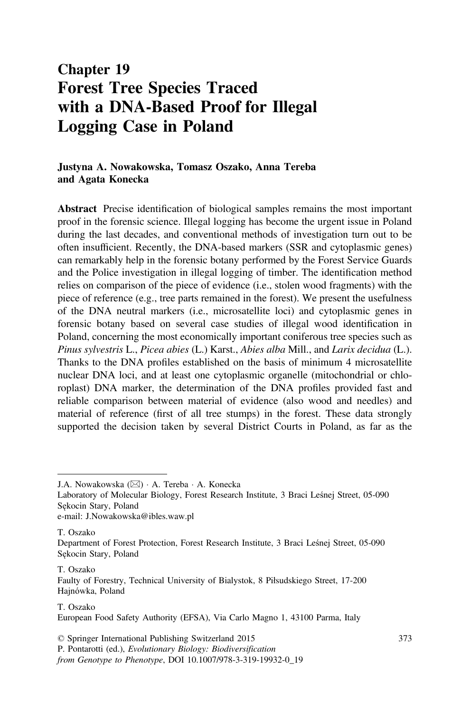# Chapter 19 Forest Tree Species Traced with a DNA-Based Proof for Illegal Logging Case in Poland

#### Justyna A. Nowakowska, Tomasz Oszako, Anna Tereba and Agata Konecka

Abstract Precise identification of biological samples remains the most important proof in the forensic science. Illegal logging has become the urgent issue in Poland during the last decades, and conventional methods of investigation turn out to be often insufficient. Recently, the DNA-based markers (SSR and cytoplasmic genes) can remarkably help in the forensic botany performed by the Forest Service Guards and the Police investigation in illegal logging of timber. The identification method relies on comparison of the piece of evidence (i.e., stolen wood fragments) with the piece of reference (e.g., tree parts remained in the forest). We present the usefulness of the DNA neutral markers (i.e., microsatellite loci) and cytoplasmic genes in forensic botany based on several case studies of illegal wood identification in Poland, concerning the most economically important coniferous tree species such as Pinus sylvestris L., Picea abies (L.) Karst., Abies alba Mill., and Larix decidua (L.). Thanks to the DNA profiles established on the basis of minimum 4 microsatellite nuclear DNA loci, and at least one cytoplasmic organelle (mitochondrial or chloroplast) DNA marker, the determination of the DNA profiles provided fast and reliable comparison between material of evidence (also wood and needles) and material of reference (first of all tree stumps) in the forest. These data strongly supported the decision taken by several District Courts in Poland, as far as the

J.A. Nowakowska  $(\boxtimes) \cdot$ A. Tereba  $\cdot$  A. Konecka

Laboratory of Molecular Biology, Forest Research Institute, 3 Braci Leśnej Street, 05-090 Sękocin Stary, Poland e-mail: J.Nowakowska@ibles.waw.pl

T. Oszako

#### T. Oszako

T. Oszako

European Food Safety Authority (EFSA), Via Carlo Magno 1, 43100 Parma, Italy

© Springer International Publishing Switzerland 2015

Department of Forest Protection, Forest Research Institute, 3 Braci Leśnej Street, 05-090 Sękocin Stary, Poland

Faulty of Forestry, Technical University of Bialystok, 8 Piłsudskiego Street, 17-200 Hajnówka, Poland

P. Pontarotti (ed.), Evolutionary Biology: Biodiversification

from Genotype to Phenotype, DOI 10.1007/978-3-319-19932-0\_19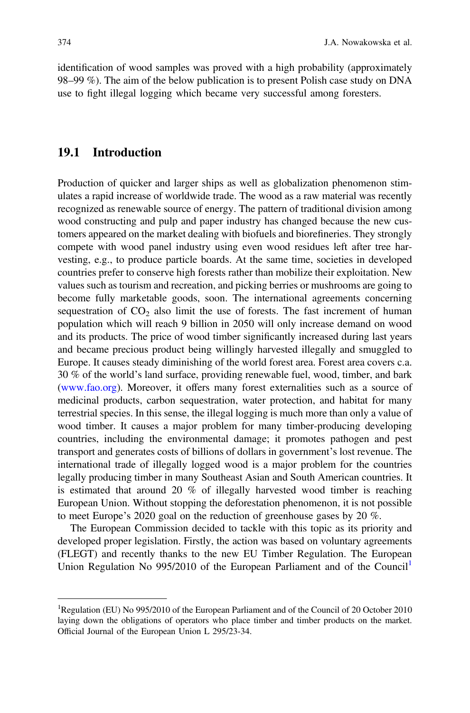identification of wood samples was proved with a high probability (approximately 98–99 %). The aim of the below publication is to present Polish case study on DNA use to fight illegal logging which became very successful among foresters.

# 19.1 Introduction

Production of quicker and larger ships as well as globalization phenomenon stimulates a rapid increase of worldwide trade. The wood as a raw material was recently recognized as renewable source of energy. The pattern of traditional division among wood constructing and pulp and paper industry has changed because the new customers appeared on the market dealing with biofuels and biorefineries. They strongly compete with wood panel industry using even wood residues left after tree harvesting, e.g., to produce particle boards. At the same time, societies in developed countries prefer to conserve high forests rather than mobilize their exploitation. New values such as tourism and recreation, and picking berries or mushrooms are going to become fully marketable goods, soon. The international agreements concerning sequestration of  $CO<sub>2</sub>$  also limit the use of forests. The fast increment of human population which will reach 9 billion in 2050 will only increase demand on wood and its products. The price of wood timber significantly increased during last years and became precious product being willingly harvested illegally and smuggled to Europe. It causes steady diminishing of the world forest area. Forest area covers c.a. 30 % of the world's land surface, providing renewable fuel, wood, timber, and bark [\(www.fao.org](http://www.fao.org)). Moreover, it offers many forest externalities such as a source of medicinal products, carbon sequestration, water protection, and habitat for many terrestrial species. In this sense, the illegal logging is much more than only a value of wood timber. It causes a major problem for many timber-producing developing countries, including the environmental damage; it promotes pathogen and pest transport and generates costs of billions of dollars in government's lost revenue. The international trade of illegally logged wood is a major problem for the countries legally producing timber in many Southeast Asian and South American countries. It is estimated that around 20 % of illegally harvested wood timber is reaching European Union. Without stopping the deforestation phenomenon, it is not possible to meet Europe's 2020 goal on the reduction of greenhouse gases by 20 %.

The European Commission decided to tackle with this topic as its priority and developed proper legislation. Firstly, the action was based on voluntary agreements (FLEGT) and recently thanks to the new EU Timber Regulation. The European Union Regulation No 995/2010 of the European Parliament and of the Council<sup>1</sup>

<sup>&</sup>lt;sup>1</sup>Regulation (EU) No 995/2010 of the European Parliament and of the Council of 20 October 2010 laying down the obligations of operators who place timber and timber products on the market. Official Journal of the European Union L 295/23-34.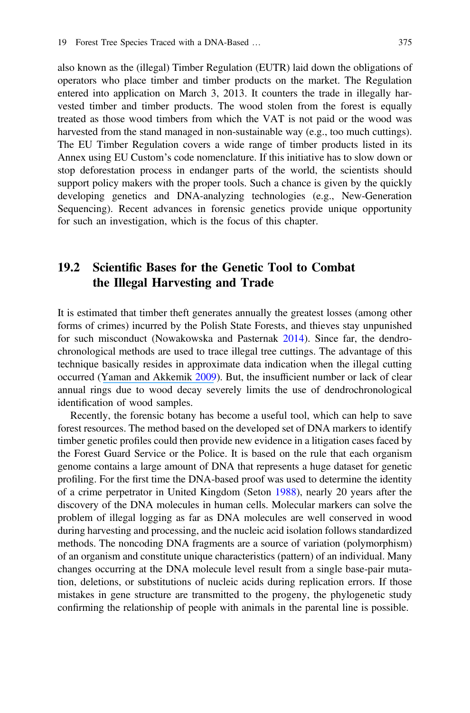also known as the (illegal) Timber Regulation (EUTR) laid down the obligations of operators who place timber and timber products on the market. The Regulation entered into application on March 3, 2013. It counters the trade in illegally harvested timber and timber products. The wood stolen from the forest is equally treated as those wood timbers from which the VAT is not paid or the wood was harvested from the stand managed in non-sustainable way (e.g., too much cuttings). The EU Timber Regulation covers a wide range of timber products listed in its Annex using EU Custom's code nomenclature. If this initiative has to slow down or stop deforestation process in endanger parts of the world, the scientists should support policy makers with the proper tools. Such a chance is given by the quickly developing genetics and DNA-analyzing technologies (e.g., New-Generation Sequencing). Recent advances in forensic genetics provide unique opportunity for such an investigation, which is the focus of this chapter.

# 19.2 Scientific Bases for the Genetic Tool to Combat the Illegal Harvesting and Trade

It is estimated that timber theft generates annually the greatest losses (among other forms of crimes) incurred by the Polish State Forests, and thieves stay unpunished for such misconduct (Nowakowska and Pasternak [2014\)](#page-14-0). Since far, the dendrochronological methods are used to trace illegal tree cuttings. The advantage of this technique basically resides in approximate data indication when the illegal cutting occurred ([Yaman and Akkemik](https://www.researchgate.net/publication/288556182_The_use_of_dendrochronological_method_in_dating_of_illegal_tree_cuttings_in_Turkey_A_case_study?el=1_x_8&enrichId=rgreq-5e64e6b2a9d8af8d1fccd5f35eacb76c-XXX&enrichSource=Y292ZXJQYWdlOzI4MDczMDEzODtBUzozNjQ4MTM5MTUwNDk5ODhAMTQ2Mzk4OTgyMzQ1Mg==) [2009\)](#page-15-0). But, the insufficient number or lack of clear annual rings due to wood decay severely limits the use of dendrochronological identification of wood samples.

Recently, the forensic botany has become a useful tool, which can help to save forest resources. The method based on the developed set of DNA markers to identify timber genetic profiles could then provide new evidence in a litigation cases faced by the Forest Guard Service or the Police. It is based on the rule that each organism genome contains a large amount of DNA that represents a huge dataset for genetic profiling. For the first time the DNA-based proof was used to determine the identity of a crime perpetrator in United Kingdom (Seton [1988](#page-14-0)), nearly 20 years after the discovery of the DNA molecules in human cells. Molecular markers can solve the problem of illegal logging as far as DNA molecules are well conserved in wood during harvesting and processing, and the nucleic acid isolation follows standardized methods. The noncoding DNA fragments are a source of variation (polymorphism) of an organism and constitute unique characteristics (pattern) of an individual. Many changes occurring at the DNA molecule level result from a single base-pair mutation, deletions, or substitutions of nucleic acids during replication errors. If those mistakes in gene structure are transmitted to the progeny, the phylogenetic study confirming the relationship of people with animals in the parental line is possible.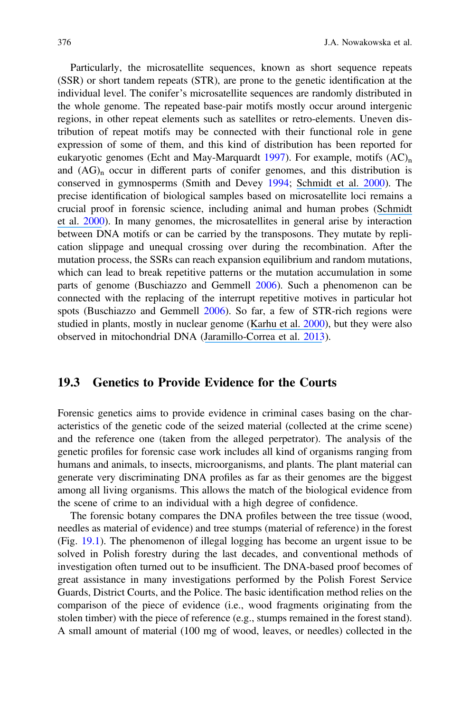Particularly, the microsatellite sequences, known as short sequence repeats (SSR) or short tandem repeats (STR), are prone to the genetic identification at the individual level. The conifer's microsatellite sequences are randomly distributed in the whole genome. The repeated base-pair motifs mostly occur around intergenic regions, in other repeat elements such as satellites or retro-elements. Uneven distribution of repeat motifs may be connected with their functional role in gene expression of some of them, and this kind of distribution has been reported for eukaryotic genomes (Echt and May-Marquardt [1997\)](#page-14-0). For example, motifs  $(AC)<sub>n</sub>$ and  $(AG)$ <sub>n</sub> occur in different parts of conifer genomes, and this distribution is conserved in gymnosperms (Smith and Devey [1994](#page-14-0); [Schmidt et al.](https://www.researchgate.net/publication/226046262_The_Contribution_of_Short_Repeats_of_Low_Sequence_Complexity_to_Large_Conifer_Genomes?el=1_x_8&enrichId=rgreq-5e64e6b2a9d8af8d1fccd5f35eacb76c-XXX&enrichSource=Y292ZXJQYWdlOzI4MDczMDEzODtBUzozNjQ4MTM5MTUwNDk5ODhAMTQ2Mzk4OTgyMzQ1Mg==) [2000](#page-14-0)). The precise identification of biological samples based on microsatellite loci remains a crucial proof in forensic science, including animal and human probes ([Schmidt](https://www.researchgate.net/publication/226046262_The_Contribution_of_Short_Repeats_of_Low_Sequence_Complexity_to_Large_Conifer_Genomes?el=1_x_8&enrichId=rgreq-5e64e6b2a9d8af8d1fccd5f35eacb76c-XXX&enrichSource=Y292ZXJQYWdlOzI4MDczMDEzODtBUzozNjQ4MTM5MTUwNDk5ODhAMTQ2Mzk4OTgyMzQ1Mg==) [et al.](https://www.researchgate.net/publication/226046262_The_Contribution_of_Short_Repeats_of_Low_Sequence_Complexity_to_Large_Conifer_Genomes?el=1_x_8&enrichId=rgreq-5e64e6b2a9d8af8d1fccd5f35eacb76c-XXX&enrichSource=Y292ZXJQYWdlOzI4MDczMDEzODtBUzozNjQ4MTM5MTUwNDk5ODhAMTQ2Mzk4OTgyMzQ1Mg==) [2000\)](#page-14-0). In many genomes, the microsatellites in general arise by interaction between DNA motifs or can be carried by the transposons. They mutate by replication slippage and unequal crossing over during the recombination. After the mutation process, the SSRs can reach expansion equilibrium and random mutations, which can lead to break repetitive patterns or the mutation accumulation in some parts of genome (Buschiazzo and Gemmell [2006](#page-14-0)). Such a phenomenon can be connected with the replacing of the interrupt repetitive motives in particular hot spots (Buschiazzo and Gemmell [2006\)](#page-14-0). So far, a few of STR-rich regions were studied in plants, mostly in nuclear genome ([Karhu et al.](https://www.researchgate.net/publication/12637290_Rapid_Expansion_of_Microsatellite_Sequences_in_Pines?el=1_x_8&enrichId=rgreq-5e64e6b2a9d8af8d1fccd5f35eacb76c-XXX&enrichSource=Y292ZXJQYWdlOzI4MDczMDEzODtBUzozNjQ4MTM5MTUwNDk5ODhAMTQ2Mzk4OTgyMzQ1Mg==) [2000\)](#page-14-0), but they were also observed in mitochondrial DNA ([Jaramillo-Correa et al.](https://www.researchgate.net/publication/235522645_Evolution_of_an_Ancient_Microsatellite_Hotspot_in_the_Conifer_Mitochondrial_Genome_and_Comparison_with_Other_Plants?el=1_x_8&enrichId=rgreq-5e64e6b2a9d8af8d1fccd5f35eacb76c-XXX&enrichSource=Y292ZXJQYWdlOzI4MDczMDEzODtBUzozNjQ4MTM5MTUwNDk5ODhAMTQ2Mzk4OTgyMzQ1Mg==) [2013\)](#page-14-0).

# 19.3 Genetics to Provide Evidence for the Courts

Forensic genetics aims to provide evidence in criminal cases basing on the characteristics of the genetic code of the seized material (collected at the crime scene) and the reference one (taken from the alleged perpetrator). The analysis of the genetic profiles for forensic case work includes all kind of organisms ranging from humans and animals, to insects, microorganisms, and plants. The plant material can generate very discriminating DNA profiles as far as their genomes are the biggest among all living organisms. This allows the match of the biological evidence from the scene of crime to an individual with a high degree of confidence.

The forensic botany compares the DNA profiles between the tree tissue (wood, needles as material of evidence) and tree stumps (material of reference) in the forest (Fig. [19.1\)](#page-4-0). The phenomenon of illegal logging has become an urgent issue to be solved in Polish forestry during the last decades, and conventional methods of investigation often turned out to be insufficient. The DNA-based proof becomes of great assistance in many investigations performed by the Polish Forest Service Guards, District Courts, and the Police. The basic identification method relies on the comparison of the piece of evidence (i.e., wood fragments originating from the stolen timber) with the piece of reference (e.g., stumps remained in the forest stand). A small amount of material (100 mg of wood, leaves, or needles) collected in the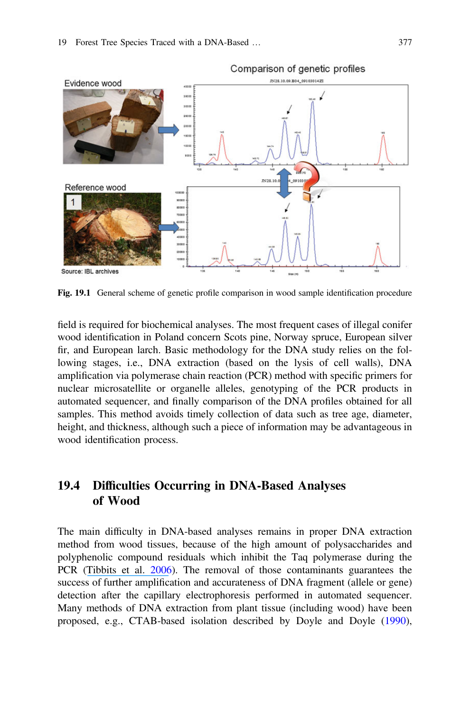<span id="page-4-0"></span>

Fig. 19.1 General scheme of genetic profile comparison in wood sample identification procedure

field is required for biochemical analyses. The most frequent cases of illegal conifer wood identification in Poland concern Scots pine, Norway spruce, European silver fir, and European larch. Basic methodology for the DNA study relies on the following stages, i.e., DNA extraction (based on the lysis of cell walls), DNA amplification via polymerase chain reaction (PCR) method with specific primers for nuclear microsatellite or organelle alleles, genotyping of the PCR products in automated sequencer, and finally comparison of the DNA profiles obtained for all samples. This method avoids timely collection of data such as tree age, diameter, height, and thickness, although such a piece of information may be advantageous in wood identification process.

# 19.4 Difficulties Occurring in DNA-Based Analyses of Wood

The main difficulty in DNA-based analyses remains in proper DNA extraction method from wood tissues, because of the high amount of polysaccharides and polyphenolic compound residuals which inhibit the Taq polymerase during the PCR ([Tibbits et al.](https://www.researchgate.net/publication/225733360_A_rapid_method_for_tissue_collection_and_high_throughput_genomic_DNA_isolation_from_mature_trees?el=1_x_8&enrichId=rgreq-5e64e6b2a9d8af8d1fccd5f35eacb76c-XXX&enrichSource=Y292ZXJQYWdlOzI4MDczMDEzODtBUzozNjQ4MTM5MTUwNDk5ODhAMTQ2Mzk4OTgyMzQ1Mg==) [2006\)](#page-15-0). The removal of those contaminants guarantees the success of further amplification and accurateness of DNA fragment (allele or gene) detection after the capillary electrophoresis performed in automated sequencer. Many methods of DNA extraction from plant tissue (including wood) have been proposed, e.g., CTAB-based isolation described by Doyle and Doyle ([1990\)](#page-14-0),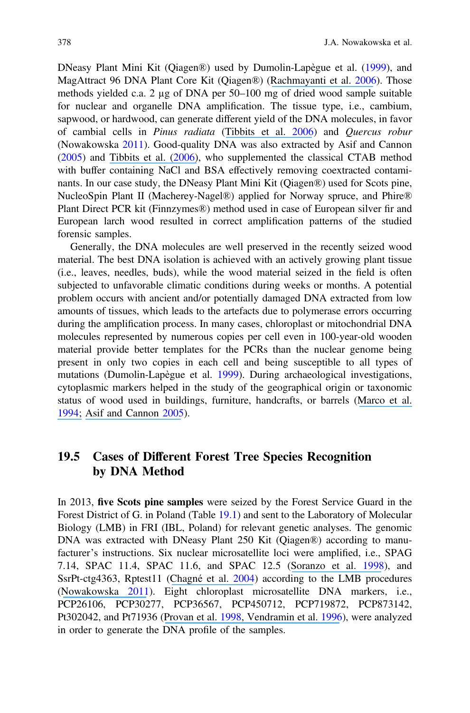DNeasy Plant Mini Kit (Qiagen®) used by Dumolin-Lapègue et al. [\(1999](#page-14-0)), and MagAttract 96 DNA Plant Core Kit (Qiagen®) ([Rachmayanti et al.](https://www.researchgate.net/publication/225750890_Extraction_amplification_and_characterization_of_wood_DNA_from_Dipterocarpaceae?el=1_x_8&enrichId=rgreq-5e64e6b2a9d8af8d1fccd5f35eacb76c-XXX&enrichSource=Y292ZXJQYWdlOzI4MDczMDEzODtBUzozNjQ4MTM5MTUwNDk5ODhAMTQ2Mzk4OTgyMzQ1Mg==) [2006](#page-14-0)). Those methods yielded c.a.  $2 \mu$ g of DNA per 50–100 mg of dried wood sample suitable for nuclear and organelle DNA amplification. The tissue type, i.e., cambium, sapwood, or hardwood, can generate different yield of the DNA molecules, in favor of cambial cells in Pinus radiata ([Tibbits et al.](https://www.researchgate.net/publication/225733360_A_rapid_method_for_tissue_collection_and_high_throughput_genomic_DNA_isolation_from_mature_trees?el=1_x_8&enrichId=rgreq-5e64e6b2a9d8af8d1fccd5f35eacb76c-XXX&enrichSource=Y292ZXJQYWdlOzI4MDczMDEzODtBUzozNjQ4MTM5MTUwNDk5ODhAMTQ2Mzk4OTgyMzQ1Mg==) [2006](#page-15-0)) and Quercus robur (Nowakowska [2011\)](#page-14-0). Good-quality DNA was also extracted by Asif and Cannon [\(2005](#page-13-0)) and [Tibbits et al. \(](https://www.researchgate.net/publication/225733360_A_rapid_method_for_tissue_collection_and_high_throughput_genomic_DNA_isolation_from_mature_trees?el=1_x_8&enrichId=rgreq-5e64e6b2a9d8af8d1fccd5f35eacb76c-XXX&enrichSource=Y292ZXJQYWdlOzI4MDczMDEzODtBUzozNjQ4MTM5MTUwNDk5ODhAMTQ2Mzk4OTgyMzQ1Mg==)[2006](#page-15-0)[\)](https://www.researchgate.net/publication/225733360_A_rapid_method_for_tissue_collection_and_high_throughput_genomic_DNA_isolation_from_mature_trees?el=1_x_8&enrichId=rgreq-5e64e6b2a9d8af8d1fccd5f35eacb76c-XXX&enrichSource=Y292ZXJQYWdlOzI4MDczMDEzODtBUzozNjQ4MTM5MTUwNDk5ODhAMTQ2Mzk4OTgyMzQ1Mg==), who supplemented the classical CTAB method with buffer containing NaCl and BSA effectively removing coextracted contaminants. In our case study, the DNeasy Plant Mini Kit (Qiagen®) used for Scots pine, NucleoSpin Plant II (Macherey-Nagel®) applied for Norway spruce, and Phire® Plant Direct PCR kit (Finnzymes®) method used in case of European silver fir and European larch wood resulted in correct amplification patterns of the studied forensic samples.

Generally, the DNA molecules are well preserved in the recently seized wood material. The best DNA isolation is achieved with an actively growing plant tissue (i.e., leaves, needles, buds), while the wood material seized in the field is often subjected to unfavorable climatic conditions during weeks or months. A potential problem occurs with ancient and/or potentially damaged DNA extracted from low amounts of tissues, which leads to the artefacts due to polymerase errors occurring during the amplification process. In many cases, chloroplast or mitochondrial DNA molecules represented by numerous copies per cell even in 100-year-old wooden material provide better templates for the PCRs than the nuclear genome being present in only two copies in each cell and being susceptible to all types of mutations (Dumolin-Lapègue et al. [1999](#page-14-0)). During archaeological investigations, cytoplasmic markers helped in the study of the geographical origin or taxonomic status of wood used in buildings, furniture, handcrafts, or barrels ([Marco et al.](https://www.researchgate.net/publication/284300651_Relationship_between_geographical_origin_and_chemical_composition_of_wood_for_oak_barrels?el=1_x_8&enrichId=rgreq-5e64e6b2a9d8af8d1fccd5f35eacb76c-XXX&enrichSource=Y292ZXJQYWdlOzI4MDczMDEzODtBUzozNjQ4MTM5MTUwNDk5ODhAMTQ2Mzk4OTgyMzQ1Mg==) [1994](#page-14-0)[;](https://www.researchgate.net/publication/284300651_Relationship_between_geographical_origin_and_chemical_composition_of_wood_for_oak_barrels?el=1_x_8&enrichId=rgreq-5e64e6b2a9d8af8d1fccd5f35eacb76c-XXX&enrichSource=Y292ZXJQYWdlOzI4MDczMDEzODtBUzozNjQ4MTM5MTUwNDk5ODhAMTQ2Mzk4OTgyMzQ1Mg==) [Asif and Cannon](https://www.researchgate.net/publication/227123859_DNA_extraction_from_processed_wood_A_case_study_for_the_identification_of_an_endangered_timber_species_Gonystylus_bancanus?el=1_x_8&enrichId=rgreq-5e64e6b2a9d8af8d1fccd5f35eacb76c-XXX&enrichSource=Y292ZXJQYWdlOzI4MDczMDEzODtBUzozNjQ4MTM5MTUwNDk5ODhAMTQ2Mzk4OTgyMzQ1Mg==) [2005](#page-13-0)).

# 19.5 Cases of Different Forest Tree Species Recognition by DNA Method

In 2013, five Scots pine samples were seized by the Forest Service Guard in the Forest District of G. in Poland (Table [19.1\)](#page-6-0) and sent to the Laboratory of Molecular Biology (LMB) in FRI (IBL, Poland) for relevant genetic analyses. The genomic DNA was extracted with DNeasy Plant 250 Kit (Qiagen®) according to manufacturer's instructions. Six nuclear microsatellite loci were amplified, i.e., SPAG 7.14, SPAC 11.4, SPAC 11.6, and SPAC 12.5 ([Soranzo et al.](https://www.researchgate.net/publication/13551886_Characterisation_of_microsatellite_loci_in_Pinus_sylvestris_L?el=1_x_8&enrichId=rgreq-5e64e6b2a9d8af8d1fccd5f35eacb76c-XXX&enrichSource=Y292ZXJQYWdlOzI4MDczMDEzODtBUzozNjQ4MTM5MTUwNDk5ODhAMTQ2Mzk4OTgyMzQ1Mg==) [1998](#page-14-0)), and SsrPt-ctg4363, Rptest11 ([Chagn](https://www.researchgate.net/publication/8266177_Cross_species_transferability_and_mapping_of_genomic_and_cDNA_SSRs_in_pines?el=1_x_8&enrichId=rgreq-5e64e6b2a9d8af8d1fccd5f35eacb76c-XXX&enrichSource=Y292ZXJQYWdlOzI4MDczMDEzODtBUzozNjQ4MTM5MTUwNDk5ODhAMTQ2Mzk4OTgyMzQ1Mg==)é et al. [2004](#page-14-0)) according to the LMB procedures ([Nowakowska](https://www.researchgate.net/publication/259829353_Application_of_DNA_markers_against_illegal_logging_as_a_new_tool_for_the_Forest_Guard_Service?el=1_x_8&enrichId=rgreq-5e64e6b2a9d8af8d1fccd5f35eacb76c-XXX&enrichSource=Y292ZXJQYWdlOzI4MDczMDEzODtBUzozNjQ4MTM5MTUwNDk5ODhAMTQ2Mzk4OTgyMzQ1Mg==) [2011\)](#page-14-0). Eight chloroplast microsatellite DNA markers, i.e., PCP26106, PCP30277, PCP36567, PCP450712, PCP719872, PCP873142, Pt302042, and Pt71936 ([Provan et al.](https://www.researchgate.net/publication/13499830_Gene-pool_variation_in_Caledonian_and_European_Scots_pine_Pinus_sylvestris_L_revealed_by_chloroplast_simple-sequence_repeats?el=1_x_8&enrichId=rgreq-5e64e6b2a9d8af8d1fccd5f35eacb76c-XXX&enrichSource=Y292ZXJQYWdlOzI4MDczMDEzODtBUzozNjQ4MTM5MTUwNDk5ODhAMTQ2Mzk4OTgyMzQ1Mg==) [1998,](#page-14-0) [Vendramin et al.](https://www.researchgate.net/publication/297258354_A_set_of_primers_for_the_amplification_of_20_chloroplast_microsatellites_in_Pinaceae?el=1_x_8&enrichId=rgreq-5e64e6b2a9d8af8d1fccd5f35eacb76c-XXX&enrichSource=Y292ZXJQYWdlOzI4MDczMDEzODtBUzozNjQ4MTM5MTUwNDk5ODhAMTQ2Mzk4OTgyMzQ1Mg==) [1996](#page-15-0)), were analyzed in order to generate the DNA profile of the samples.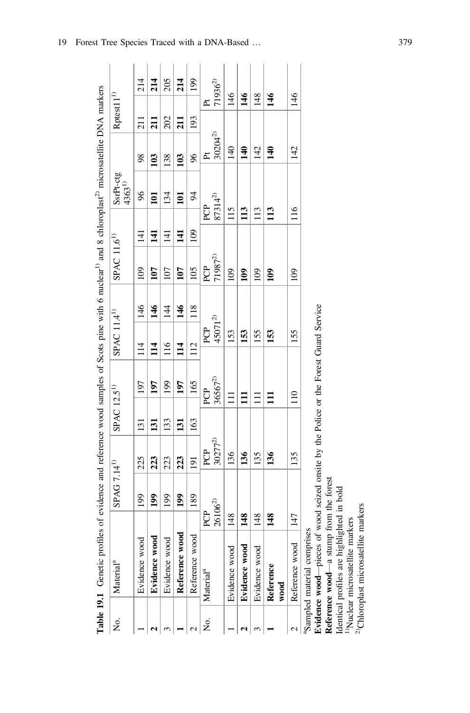<span id="page-6-0"></span>

|               | <b>Table 19.1</b> Genetic profiles of evidence and reference wood samples of Scots pine with 6 nuclear <sup>1)</sup> and 8 chloroplast <sup>2)</sup> microsatellite DNA markers |             |                         |                  |                         |                  |                         |                |                  |                 |                          |                |                       |                     |
|---------------|---------------------------------------------------------------------------------------------------------------------------------------------------------------------------------|-------------|-------------------------|------------------|-------------------------|------------------|-------------------------|----------------|------------------|-----------------|--------------------------|----------------|-----------------------|---------------------|
| Ż.            | Material <sup>a</sup>                                                                                                                                                           |             | SPAG 7.14 <sup>1)</sup> |                  | SPAC 12.5 <sup>1)</sup> |                  | SPAC 11.4 <sup>1)</sup> |                | SPAC 11.6        |                 | SsrPt-ctg<br>$4363^{11}$ |                | Rptest11 <sup>1</sup> |                     |
|               | Evidence wood                                                                                                                                                                   |             | 199                     | 225              | $\overline{131}$        | 197              | $\overline{14}$         | 146            | 109              | $\overline{14}$ | 96                       | 98             | $\overline{211}$      | 214                 |
|               | Evidence wood                                                                                                                                                                   |             | $\overline{99}$         | 223              | 131                     | 197              | $\overline{11}$         | 146            | 107              | $\overline{14}$ | $\Xi$                    | 103            | $\overline{11}$       | 214                 |
| S             | Evidence wood                                                                                                                                                                   |             | 199                     | 223              | 133                     | 199              | 116                     | $\overline{4}$ | 107              | 141             | 134                      | 138            | 202                   | 205                 |
|               | Reference wood                                                                                                                                                                  |             | $\overline{9}$          | 223              | 131                     | 197              | $\overline{14}$         | $\frac{46}{5}$ | 107              | $\mathbf{H}$    | $\Xi$                    | 103            | $\Xi$                 | $\frac{14}{5}$      |
|               | Reference wood                                                                                                                                                                  |             | 189                     | $\overline{191}$ | 163                     | 165              | 112                     | 118            | 105              | 109             | \$                       | 96             | 193                   | 199                 |
| Ż.            | Material <sup>a</sup>                                                                                                                                                           | PCP         |                         | PCP              |                         | PCP              | PCP                     |                | PCP              |                 | PCP                      | È              | Ĕ                     |                     |
|               |                                                                                                                                                                                 | $26106^{2}$ |                         | $30277^{2}$      |                         | $36567^{2}$      | $45071^{2}$             |                | $71987^{2}$      |                 | $187314^{2}$             | $30204^{2}$    |                       | 71936 <sup>2)</sup> |
|               | Evidence wood                                                                                                                                                                   | 148         |                         | 136              |                         | $\Xi$            | 153                     |                | 109              |                 | 115                      | $\frac{40}{5}$ | 146                   |                     |
|               | Evidence wood                                                                                                                                                                   | 148         |                         | 136              |                         | $\Xi$            | 153                     |                | 109              |                 | 113                      | $\frac{40}{5}$ | 146                   |                     |
| 3             | Evidence wood                                                                                                                                                                   | 148         |                         | 135              |                         | $\Xi$            | 155                     |                | $\overline{109}$ |                 | 113                      | 142            | 148                   |                     |
|               | Reference                                                                                                                                                                       | 148         |                         | 136              |                         | Ξ                | 153                     |                | $\frac{8}{2}$    |                 | $\overline{13}$          | $\frac{40}{5}$ | 146                   |                     |
|               | wood                                                                                                                                                                            |             |                         |                  |                         |                  |                         |                |                  |                 |                          |                |                       |                     |
| $\mathcal{C}$ | Reference wood                                                                                                                                                                  | 147         |                         | 135              |                         | $\overline{110}$ | 155                     |                | 109              |                 | 116                      | 142            | 146                   |                     |
|               | meac<br>acompled motorial comp                                                                                                                                                  |             |                         |                  |                         |                  |                         |                |                  |                 |                          |                |                       |                     |

**Table 19.1** Genetic profiles of evidence and reference wood samples of Scots pine with 6 nuclear<sup>1)</sup> and 8 chloroplast<sup>2)</sup> microsatellite DNA markers Í  $\overline{a}$  $\hat{c}$ l, Ė  $\ddot{\cdot}$  $\overline{a}$  $\overline{a}$  $\overline{\phantom{0}}$  $\ddot{z}$  $\frac{c}{c}$ Į,  $\epsilon$ Į, Ŕ  $\epsilon$ ā

'Sampled material comprises aSampled material comprises

Evidence wood-pieces of wood seized onsite by the Police or the Forest Guard Service Evidence wood—pieces of wood seized onsite by the Police or the Forest Guard Service

Reference wood-a stump from the forest Reference wood—a stump from the forest

Identical profiles are highlighted in bold  ${}^{1}$ Nuclear microsatellite markers  ${}^{2}$ Chloroplast microsatellite markers Identical profiles are highlighted in bold

1)Nuclear microsatellite markers

2)Chloroplast microsatellite markers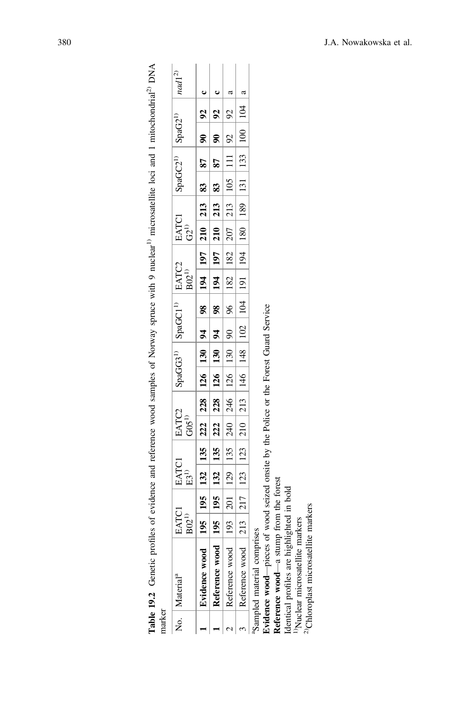| marker |                              |                                                                         |     |                                 |                              |     |                                                                          |               |                     |                |                                              |                                                                                                                             |             |                |               |                                                                             |                 |                 |
|--------|------------------------------|-------------------------------------------------------------------------|-----|---------------------------------|------------------------------|-----|--------------------------------------------------------------------------|---------------|---------------------|----------------|----------------------------------------------|-----------------------------------------------------------------------------------------------------------------------------|-------------|----------------|---------------|-----------------------------------------------------------------------------|-----------------|-----------------|
|        | No.   Material <sup>a</sup>  | $\begin{array}{l}\n\text{EATCI} \\ \text{BO2}^{\text{1)}}\n\end{array}$ |     | $\text{EATCI} \ \text{E3}^{1)}$ | $EATC2$<br>GOS <sup>1)</sup> |     |                                                                          | $apacG3^{10}$ | SpaGCl <sup>1</sup> |                | $\frac{\text{EATC2}}{\text{B02}^{\text{1}}}$ | $\begin{array}{c} \mathbb{E} \mathbf{A} \mathbb{T} \mathbb{C} \mathbb{1} \\ \mathbb{G} \mathbb{2}^{\mathbb{1}} \end{array}$ |             |                |               | $SpaGC2^{1)}$ $SpaG2^{10}$                                                  |                 | $ $ nad $1^{2}$ |
|        | Evidence wood                | $195-1$                                                                 | 195 | 132   135                       | 222                          | 228 | $126$ 130 94 98                                                          |               |                     |                | 194   197                                    |                                                                                                                             | $210$ 213   | $\frac{33}{2}$ | $\frac{1}{8}$ | $\overline{\phantom{0}}$                                                    | 92              |                 |
|        | Reference wood               | 195                                                                     |     | 195   132   135                 | 222                          | 228 | $126$ 130 94                                                             |               |                     | $\frac{8}{1}$  | 194   197                                    | 210   213                                                                                                                   |             | 83             | <b>87</b>     | $\frac{1}{2}$                                                               | $\overline{92}$ |                 |
|        | Reference wood               | 193                                                                     | 201 | 129 135                         | 240                          | 246 | $\begin{array}{ c c c c c } \hline 126 & 130 & 90 \\ \hline \end{array}$ |               |                     | $\frac{8}{10}$ | 182   182                                    |                                                                                                                             | 207 213 105 |                | $\boxed{11}$  | 92                                                                          | 92              |                 |
|        | Reference wood               | 213                                                                     |     | 217   123   123   210           |                              |     |                                                                          |               |                     |                |                                              |                                                                                                                             |             |                |               | 213   146   148   102   104   194   194   180   189   131   133   100   104 |                 |                 |
|        | a Sampled material comprises |                                                                         |     |                                 |                              |     |                                                                          |               |                     |                |                                              |                                                                                                                             |             |                |               |                                                                             |                 |                 |

J.

Table 19.2 Genetic profiles of evidence and reference wood samples of Norway spruce with 9 nuclear<sup>1)</sup> microsatellite loci and 1 mitochondrial<sup>2</sup> DNA

<span id="page-7-0"></span>Table 19.2 Genetic profiles of evidence and reference wood samples of Norway spruce with 9 nuclear<sup>1)</sup> microsatellite loci and 1 mitochondrial<sup>2)</sup> DNA

aSampled material comprises

"Sampled material comprises<br>**Evidence wood**—pieces of wood seized onsite by the Police or the Forest Guard Service Evidence wood—pieces of wood seized onsite by the Police or the Forest Guard Service

Reference wood-a stump from the forest Reference wood—a stump from the forest

Identical profiles are highlighted in bold Identical profiles are highlighted in bold

<sup>1</sup>Nuclear microsatellite markers 1)Nuclear microsatellite markers

 $^{2)}\!Chloroplast$  microsatellite markers 2)Chloroplast microsatellite markers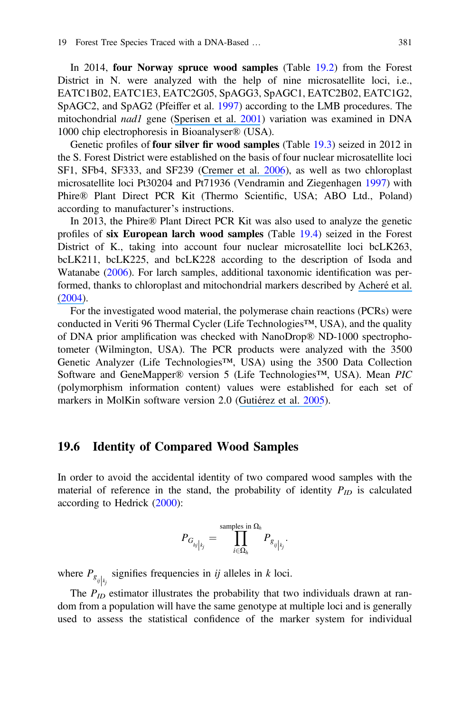In 2014, four Norway spruce wood samples (Table [19.2\)](#page-7-0) from the Forest District in N. were analyzed with the help of nine microsatellite loci, i.e., EATC1B02, EATC1E3, EATC2G05, SpAGG3, SpAGC1, EATC2B02, EATC1G2, SpAGC2, and SpAG2 (Pfeiffer et al. [1997](#page-14-0)) according to the LMB procedures. The mitochondrial nad1 gene ([Sperisen et al.](https://www.researchgate.net/publication/12080318_Sperisen_C_Buchler_U_Gugerli_F_Matyas_G_Geburek_T_Vendramin_GG_Tandem_repeats_in_plant_mitochondrial_genomes_application_to_the_analysis_of_population_differentiation_in_the_conifer_Norway_spruce_Mol_?el=1_x_8&enrichId=rgreq-5e64e6b2a9d8af8d1fccd5f35eacb76c-XXX&enrichSource=Y292ZXJQYWdlOzI4MDczMDEzODtBUzozNjQ4MTM5MTUwNDk5ODhAMTQ2Mzk4OTgyMzQ1Mg==) [2001\)](#page-15-0) variation was examined in DNA 1000 chip electrophoresis in Bioanalyser® (USA).

Genetic profiles of four silver fir wood samples (Table [19.3\)](#page-9-0) seized in 2012 in the S. Forest District were established on the basis of four nuclear microsatellite loci SF1, SFb4, SF333, and SF239 ([Cremer et al.](https://www.researchgate.net/publication/221701903_Identification_and_characterization_of_nuclear_microsatellite_loci_in_Abies_alba_Mill?el=1_x_8&enrichId=rgreq-5e64e6b2a9d8af8d1fccd5f35eacb76c-XXX&enrichSource=Y292ZXJQYWdlOzI4MDczMDEzODtBUzozNjQ4MTM5MTUwNDk5ODhAMTQ2Mzk4OTgyMzQ1Mg==) [2006](#page-14-0)), as well as two chloroplast microsatellite loci Pt30204 and Pt71936 (Vendramin and Ziegenhagen [1997\)](#page-15-0) with Phire® Plant Direct PCR Kit (Thermo Scientific, USA; ABO Ltd., Poland) according to manufacturer's instructions.

In 2013, the Phire® Plant Direct PCR Kit was also used to analyze the genetic profiles of six European larch wood samples (Table [19.4\)](#page-10-0) seized in the Forest District of K., taking into account four nuclear microsatellite loci bcLK263, bcLK211, bcLK225, and bcLK228 according to the description of Isoda and Watanabe [\(2006](#page-14-0)). For larch samples, additional taxonomic identification was performed, thanks to chloroplast and mitochondrial markers described by [Acher](https://www.researchgate.net/publication/7438756_Chloroplast_and_mitochondrial_molecular_tests_identify_EuropeanJapanese_larch_hybrids?el=1_x_8&enrichId=rgreq-5e64e6b2a9d8af8d1fccd5f35eacb76c-XXX&enrichSource=Y292ZXJQYWdlOzI4MDczMDEzODtBUzozNjQ4MTM5MTUwNDk5ODhAMTQ2Mzk4OTgyMzQ1Mg==)é et al. [\(](https://www.researchgate.net/publication/7438756_Chloroplast_and_mitochondrial_molecular_tests_identify_EuropeanJapanese_larch_hybrids?el=1_x_8&enrichId=rgreq-5e64e6b2a9d8af8d1fccd5f35eacb76c-XXX&enrichSource=Y292ZXJQYWdlOzI4MDczMDEzODtBUzozNjQ4MTM5MTUwNDk5ODhAMTQ2Mzk4OTgyMzQ1Mg==)[2004](#page-13-0)[\)](https://www.researchgate.net/publication/7438756_Chloroplast_and_mitochondrial_molecular_tests_identify_EuropeanJapanese_larch_hybrids?el=1_x_8&enrichId=rgreq-5e64e6b2a9d8af8d1fccd5f35eacb76c-XXX&enrichSource=Y292ZXJQYWdlOzI4MDczMDEzODtBUzozNjQ4MTM5MTUwNDk5ODhAMTQ2Mzk4OTgyMzQ1Mg==).

For the investigated wood material, the polymerase chain reactions (PCRs) were conducted in Veriti 96 Thermal Cycler (Life Technologies™, USA), and the quality of DNA prior amplification was checked with NanoDrop® ND-1000 spectrophotometer (Wilmington, USA). The PCR products were analyzed with the 3500 Genetic Analyzer (Life Technologies™, USA) using the 3500 Data Collection Software and GeneMapper® version 5 (Life Technologies™, USA). Mean PIC (polymorphism information content) values were established for each set of markers in MolKin software version 2.0 (Gutiérez [et al.](https://www.researchgate.net/publication/7514392_MolKin_v20_A_Computer_Program_for_Genetic_Analysis_of_Populations_Using_Molecular_Coancestry_Information?el=1_x_8&enrichId=rgreq-5e64e6b2a9d8af8d1fccd5f35eacb76c-XXX&enrichSource=Y292ZXJQYWdlOzI4MDczMDEzODtBUzozNjQ4MTM5MTUwNDk5ODhAMTQ2Mzk4OTgyMzQ1Mg==) [2005\)](#page-14-0).

# 19.6 Identity of Compared Wood Samples

In order to avoid the accidental identity of two compared wood samples with the material of reference in the stand, the probability of identity  $P_{ID}$  is calculated according to Hedrick ([2000](#page-14-0)):

$$
P_{G_{hj}|_{k_j}} = \prod_{i \in \Omega_h}^{\text{samples in } \Omega_h} P_{g_{ij}|_{k_j}}.
$$

where  $P_g$ signifies frequencies in  $ij$  alleles in  $k$  loci.

 $ii \mid k_j$ The  $P_{ID}$  estimator illustrates the probability that two individuals drawn at random from a population will have the same genotype at multiple loci and is generally used to assess the statistical confidence of the marker system for individual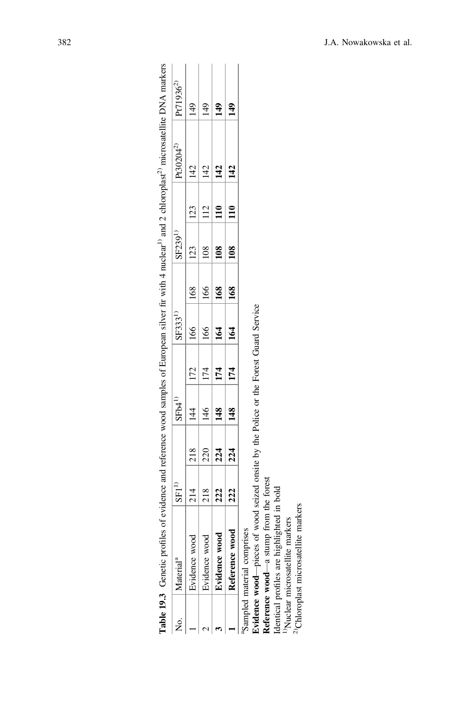<span id="page-9-0"></span>

| Table 19.3 Genetic profiles of evidence and reference wood samples of European silver fir with 4 nuclear <sup>1)</sup> and 2 chloroplast <sup>2)</sup> microsatellite DNA markers |                 |     |                |                |                            |          |               |                 |                       |                       |
|-----------------------------------------------------------------------------------------------------------------------------------------------------------------------------------|-----------------|-----|----------------|----------------|----------------------------|----------|---------------|-----------------|-----------------------|-----------------------|
| Material <sup>®</sup>                                                                                                                                                             | $SF1^{1}$       |     | $SFR4^{1}$     |                | ${\rm S}$ F333 $^{\rm 1)}$ |          | $SF239^{1}$   |                 | Pt30204 <sup>2)</sup> | Pt71936 <sup>2)</sup> |
| Evidence wood                                                                                                                                                                     | $\frac{14}{21}$ | 218 | $\frac{4}{4}$  | 172            | 166                        | 168      | $ 123\rangle$ | <sup>123</sup>  | 142                   | 149                   |
| Evidence wood                                                                                                                                                                     | 218             | 220 | $\frac{46}{5}$ | 174            | 166                        | $^{166}$ | 108           | 112             | 142                   | $\frac{49}{5}$        |
| Evidence wood                                                                                                                                                                     | 222             | 224 | 148            | 174            | 164                        | 168      | 108           | $\frac{10}{11}$ | 142                   | 149                   |
| Reference wood                                                                                                                                                                    | 222             | 224 | <b>148</b>     | <sup>174</sup> | 164                        | 168      | 108           | $\frac{1}{10}$  | 142                   | 149                   |
| Sampled material comprises                                                                                                                                                        |                 |     |                |                |                            |          |               |                 |                       |                       |

| ֖֧֧֧֚֚֚֚֚֚֚֚֚֞֝֓֝֝֓֓֝֓֝֬֝֓֝֓ <b>֓</b><br>ׇׇׇ֧֧֧֧֧֧֚֚֚֚֚֚֚֚֚֚֚֚֚֚֚֝֩֩֝֬֘ |                   |
|-------------------------------------------------------------------------|-------------------|
|                                                                         |                   |
| l                                                                       |                   |
|                                                                         |                   |
|                                                                         |                   |
| j                                                                       |                   |
|                                                                         |                   |
|                                                                         |                   |
|                                                                         |                   |
|                                                                         |                   |
| ļ                                                                       |                   |
|                                                                         |                   |
|                                                                         |                   |
|                                                                         |                   |
|                                                                         |                   |
|                                                                         |                   |
|                                                                         |                   |
| ╡<br>₢<br>≂<br>J<br>l                                                   |                   |
|                                                                         |                   |
|                                                                         |                   |
| ጥ-ሌሌ 10.1<br>$\sim$ $\sim$<br>l                                         | <b>CONTRACTOR</b> |

aSampled material comprises

"Sampled material comprises<br>Evidence wood—pieces of wood seized onsite by the Police or the Forest Guard Service Evidence wood—pieces of wood seized onsite by the Police or the Forest Guard Service

**Reference wood**—a stump from the forest<br>Identical profiles are highlighted in bold<br><sup>1</sup>)Nuclear microsatellite markers<br><sup>2</sup>/Chloroplast microsatellite markers Reference wood—a stump from the forest

Identical profiles are highlighted in bold

1)Nuclear microsatellite markers

2)Chloroplast microsatellite markers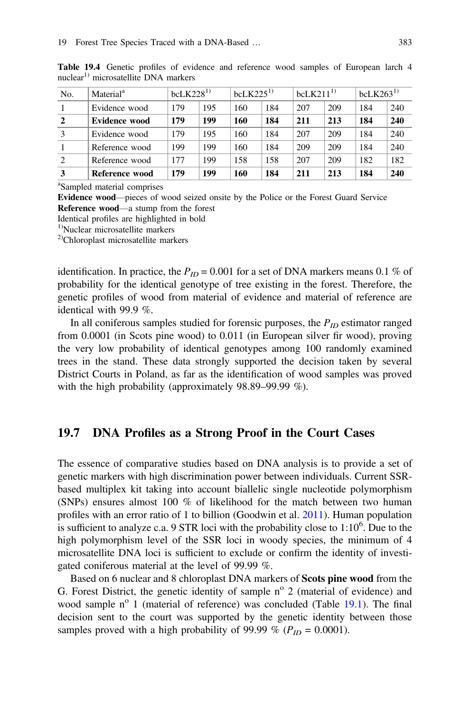| No.                     | Material <sup>a</sup> | bcLK228 <sup>1</sup> |     | $bcLK225^{1}$ |     | $bcLK211^{1}$ |     | bcLK263 <sup>1</sup> |     |
|-------------------------|-----------------------|----------------------|-----|---------------|-----|---------------|-----|----------------------|-----|
|                         | Evidence wood         | 179                  | 195 | 160           | 184 | 207           | 209 | 184                  | 240 |
| $\overline{2}$          | <b>Evidence wood</b>  | 179                  | 199 | 160           | 184 | 211           | 213 | 184                  | 240 |
| 3                       | Evidence wood         | 179                  | 195 | 160           | 184 | 207           | 209 | 184                  | 240 |
|                         | Reference wood        | 199                  | 199 | 160           | 184 | 209           | 209 | 184                  | 240 |
| 2                       | Reference wood        | 177                  | 199 | 158           | 158 | 207           | 209 | 182                  | 182 |
| $\overline{\mathbf{3}}$ | Reference wood        | 179                  | 199 | 160           | 184 | 211           | 213 | 184                  | 240 |

<span id="page-10-0"></span>Table 19.4 Genetic profiles of evidence and reference wood samples of European larch 4  $nuclear<sup>1</sup>$  microsatellite DNA markers

a Sampled material comprises

Evidence wood—pieces of wood seized onsite by the Police or the Forest Guard Service Reference wood—a stump from the forest

Identical profiles are highlighted in bold

<sup>1)</sup>Nuclear microsatellite markers

2)Chloroplast microsatellite markers

identification. In practice, the  $P_{ID} = 0.001$  for a set of DNA markers means 0.1 % of probability for the identical genotype of tree existing in the forest. Therefore, the genetic profiles of wood from material of evidence and material of reference are identical with 99.9 %.

In all coniferous samples studied for forensic purposes, the  $P_{ID}$  estimator ranged from 0.0001 (in Scots pine wood) to 0.011 (in European silver fir wood), proving the very low probability of identical genotypes among 100 randomly examined trees in the stand. These data strongly supported the decision taken by several District Courts in Poland, as far as the identification of wood samples was proved with the high probability (approximately 98.89–99.99 %).

#### 19.7 DNA Profiles as a Strong Proof in the Court Cases

The essence of comparative studies based on DNA analysis is to provide a set of genetic markers with high discrimination power between individuals. Current SSRbased multiplex kit taking into account biallelic single nucleotide polymorphism (SNPs) ensures almost 100 % of likelihood for the match between two human profiles with an error ratio of 1 to billion (Goodwin et al. [2011\)](#page-14-0). Human population is sufficient to analyze c.a. 9 STR loci with the probability close to  $1:10^6$ . Due to the high polymorphism level of the SSR loci in woody species, the minimum of 4 microsatellite DNA loci is sufficient to exclude or confirm the identity of investigated coniferous material at the level of 99.99 %.

Based on 6 nuclear and 8 chloroplast DNA markers of Scots pine wood from the G. Forest District, the genetic identity of sample  $n^{\circ}$  2 (material of evidence) and wood sample  $n^{\circ}$  1 (material of reference) was concluded (Table [19.1](#page-6-0)). The final decision sent to the court was supported by the genetic identity between those samples proved with a high probability of 99.99 % ( $P_{ID} = 0.0001$ ).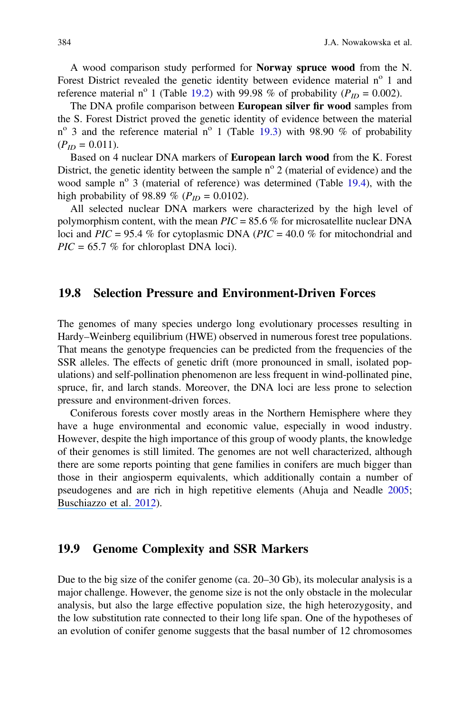A wood comparison study performed for Norway spruce wood from the N. Forest District revealed the genetic identity between evidence material  $n<sup>o</sup>$  1 and reference material n<sup>o</sup> 1 (Table [19.2\)](#page-7-0) with 99.98 % of probability ( $P_{ID} = 0.002$ ).

The DNA profile comparison between European silver fir wood samples from the S. Forest District proved the genetic identity of evidence between the material  $n^{\circ}$  3 and the reference material  $n^{\circ}$  1 (Table [19.3\)](#page-9-0) with 98.90 % of probability  $(P_{ID} = 0.011)$ .

Based on 4 nuclear DNA markers of European larch wood from the K. Forest District, the genetic identity between the sample  $n^{\circ}$  2 (material of evidence) and the wood sample  $n^{\circ}$  3 (material of reference) was determined (Table [19.4](#page-10-0)), with the high probability of 98.89 % ( $P_{ID} = 0.0102$ ).

All selected nuclear DNA markers were characterized by the high level of polymorphism content, with the mean  $\text{PIC} = 85.6 \%$  for microsatellite nuclear DNA loci and  $\text{PIC} = 95.4$  % for cytoplasmic DNA ( $\text{PIC} = 40.0$  % for mitochondrial and  $\text{PIC} = 65.7 \%$  for chloroplast DNA loci).

# 19.8 Selection Pressure and Environment-Driven Forces

The genomes of many species undergo long evolutionary processes resulting in Hardy–Weinberg equilibrium (HWE) observed in numerous forest tree populations. That means the genotype frequencies can be predicted from the frequencies of the SSR alleles. The effects of genetic drift (more pronounced in small, isolated populations) and self-pollination phenomenon are less frequent in wind-pollinated pine, spruce, fir, and larch stands. Moreover, the DNA loci are less prone to selection pressure and environment-driven forces.

Coniferous forests cover mostly areas in the Northern Hemisphere where they have a huge environmental and economic value, especially in wood industry. However, despite the high importance of this group of woody plants, the knowledge of their genomes is still limited. The genomes are not well characterized, although there are some reports pointing that gene families in conifers are much bigger than those in their angiosperm equivalents, which additionally contain a number of pseudogenes and are rich in high repetitive elements (Ahuja and Neadle [2005;](#page-13-0) [Buschiazzo et al.](https://www.researchgate.net/publication/221765681_Slow_but_not_low_Genomic_comparisons_reveal_slower_evolutionary_rate_and_higher_dNdS_in_conifers_compared_to_angiosperms?el=1_x_8&enrichId=rgreq-5e64e6b2a9d8af8d1fccd5f35eacb76c-XXX&enrichSource=Y292ZXJQYWdlOzI4MDczMDEzODtBUzozNjQ4MTM5MTUwNDk5ODhAMTQ2Mzk4OTgyMzQ1Mg==) [2012](#page-13-0)).

#### 19.9 Genome Complexity and SSR Markers

Due to the big size of the conifer genome (ca. 20–30 Gb), its molecular analysis is a major challenge. However, the genome size is not the only obstacle in the molecular analysis, but also the large effective population size, the high heterozygosity, and the low substitution rate connected to their long life span. One of the hypotheses of an evolution of conifer genome suggests that the basal number of 12 chromosomes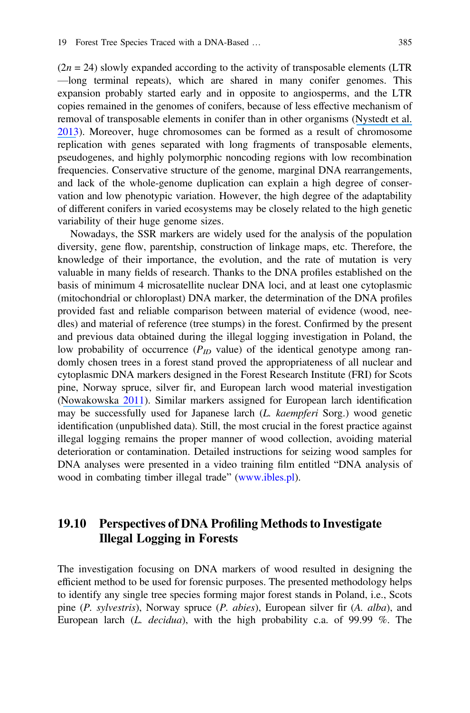$(2n = 24)$  slowly expanded according to the activity of transposable elements (LTR —long terminal repeats), which are shared in many conifer genomes. This expansion probably started early and in opposite to angiosperms, and the LTR copies remained in the genomes of conifers, because of less effective mechanism of removal of transposable elements in conifer than in other organisms ([Nystedt et al.](https://www.researchgate.net/publication/236932291_The_Norway_spruce_genome_sequence_and_conifer_genome_evolution_Nature?el=1_x_8&enrichId=rgreq-5e64e6b2a9d8af8d1fccd5f35eacb76c-XXX&enrichSource=Y292ZXJQYWdlOzI4MDczMDEzODtBUzozNjQ4MTM5MTUwNDk5ODhAMTQ2Mzk4OTgyMzQ1Mg==) [2013\)](#page-14-0). Moreover, huge chromosomes can be formed as a result of chromosome replication with genes separated with long fragments of transposable elements, pseudogenes, and highly polymorphic noncoding regions with low recombination frequencies. Conservative structure of the genome, marginal DNA rearrangements, and lack of the whole-genome duplication can explain a high degree of conservation and low phenotypic variation. However, the high degree of the adaptability of different conifers in varied ecosystems may be closely related to the high genetic variability of their huge genome sizes.

Nowadays, the SSR markers are widely used for the analysis of the population diversity, gene flow, parentship, construction of linkage maps, etc. Therefore, the knowledge of their importance, the evolution, and the rate of mutation is very valuable in many fields of research. Thanks to the DNA profiles established on the basis of minimum 4 microsatellite nuclear DNA loci, and at least one cytoplasmic (mitochondrial or chloroplast) DNA marker, the determination of the DNA profiles provided fast and reliable comparison between material of evidence (wood, needles) and material of reference (tree stumps) in the forest. Confirmed by the present and previous data obtained during the illegal logging investigation in Poland, the low probability of occurrence ( $P_{ID}$  value) of the identical genotype among randomly chosen trees in a forest stand proved the appropriateness of all nuclear and cytoplasmic DNA markers designed in the Forest Research Institute (FRI) for Scots pine, Norway spruce, silver fir, and European larch wood material investigation ([Nowakowska](https://www.researchgate.net/publication/259829353_Application_of_DNA_markers_against_illegal_logging_as_a_new_tool_for_the_Forest_Guard_Service?el=1_x_8&enrichId=rgreq-5e64e6b2a9d8af8d1fccd5f35eacb76c-XXX&enrichSource=Y292ZXJQYWdlOzI4MDczMDEzODtBUzozNjQ4MTM5MTUwNDk5ODhAMTQ2Mzk4OTgyMzQ1Mg==) [2011](#page-14-0)). Similar markers assigned for European larch identification may be successfully used for Japanese larch (L. kaempferi Sorg.) wood genetic identification (unpublished data). Still, the most crucial in the forest practice against illegal logging remains the proper manner of wood collection, avoiding material deterioration or contamination. Detailed instructions for seizing wood samples for DNA analyses were presented in a video training film entitled "DNA analysis of wood in combating timber illegal trade" ([www.ibles.pl\)](http://www.ibles.pl).

# 19.10 Perspectives of DNA Profiling Methods to Investigate Illegal Logging in Forests

The investigation focusing on DNA markers of wood resulted in designing the efficient method to be used for forensic purposes. The presented methodology helps to identify any single tree species forming major forest stands in Poland, i.e., Scots pine (P. sylvestris), Norway spruce (P. abies), European silver fir (A. alba), and European larch (L. decidua), with the high probability c.a. of 99.99 %. The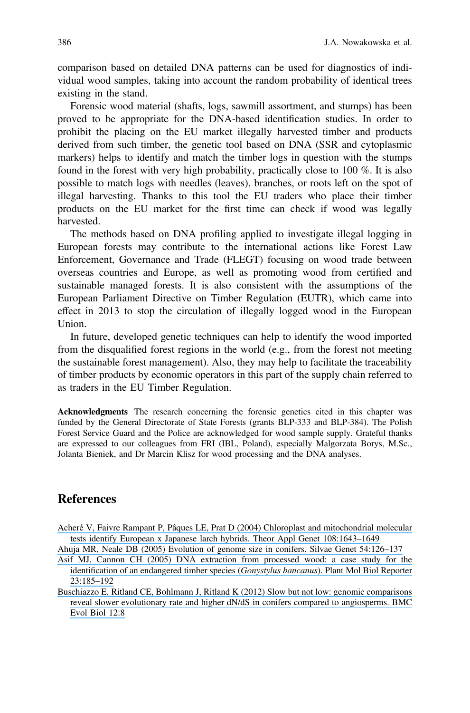<span id="page-13-0"></span>comparison based on detailed DNA patterns can be used for diagnostics of individual wood samples, taking into account the random probability of identical trees existing in the stand.

Forensic wood material (shafts, logs, sawmill assortment, and stumps) has been proved to be appropriate for the DNA-based identification studies. In order to prohibit the placing on the EU market illegally harvested timber and products derived from such timber, the genetic tool based on DNA (SSR and cytoplasmic markers) helps to identify and match the timber logs in question with the stumps found in the forest with very high probability, practically close to 100 %. It is also possible to match logs with needles (leaves), branches, or roots left on the spot of illegal harvesting. Thanks to this tool the EU traders who place their timber products on the EU market for the first time can check if wood was legally harvested.

The methods based on DNA profiling applied to investigate illegal logging in European forests may contribute to the international actions like Forest Law Enforcement, Governance and Trade (FLEGT) focusing on wood trade between overseas countries and Europe, as well as promoting wood from certified and sustainable managed forests. It is also consistent with the assumptions of the European Parliament Directive on Timber Regulation (EUTR), which came into effect in 2013 to stop the circulation of illegally logged wood in the European Union.

In future, developed genetic techniques can help to identify the wood imported from the disqualified forest regions in the world (e.g., from the forest not meeting the sustainable forest management). Also, they may help to facilitate the traceability of timber products by economic operators in this part of the supply chain referred to as traders in the EU Timber Regulation.

Acknowledgments The research concerning the forensic genetics cited in this chapter was funded by the General Directorate of State Forests (grants BLP-333 and BLP-384). The Polish Forest Service Guard and the Police are acknowledged for wood sample supply. Grateful thanks are expressed to our colleagues from FRI (IBL, Poland), especially Malgorzata Borys, M.Sc., Jolanta Bieniek, and Dr Marcin Klisz for wood processing and the DNA analyses.

# **References**

Acheré V, Faivre Rampant P, Pâ[ques LE, Prat D \(2004\) Chloroplast and mitochondrial molecular](https://www.researchgate.net/publication/7438756_Chloroplast_and_mitochondrial_molecular_tests_identify_EuropeanJapanese_larch_hybrids?el=1_x_8&enrichId=rgreq-5e64e6b2a9d8af8d1fccd5f35eacb76c-XXX&enrichSource=Y292ZXJQYWdlOzI4MDczMDEzODtBUzozNjQ4MTM5MTUwNDk5ODhAMTQ2Mzk4OTgyMzQ1Mg==) [tests identify European x Japanese larch hybrids. Theor Appl Genet 108:1643](https://www.researchgate.net/publication/7438756_Chloroplast_and_mitochondrial_molecular_tests_identify_EuropeanJapanese_larch_hybrids?el=1_x_8&enrichId=rgreq-5e64e6b2a9d8af8d1fccd5f35eacb76c-XXX&enrichSource=Y292ZXJQYWdlOzI4MDczMDEzODtBUzozNjQ4MTM5MTUwNDk5ODhAMTQ2Mzk4OTgyMzQ1Mg==)–1649

[Ahuja MR, Neale DB \(2005\) Evolution of genome size in conifers. Silvae Genet 54:126](https://www.researchgate.net/publication/299057282_Evolution_of_genome_size_in_conifers?el=1_x_8&enrichId=rgreq-5e64e6b2a9d8af8d1fccd5f35eacb76c-XXX&enrichSource=Y292ZXJQYWdlOzI4MDczMDEzODtBUzozNjQ4MTM5MTUwNDk5ODhAMTQ2Mzk4OTgyMzQ1Mg==)–137

- [Asif MJ, Cannon CH \(2005\) DNA extraction from processed wood: a case study for the](https://www.researchgate.net/publication/227123859_DNA_extraction_from_processed_wood_A_case_study_for_the_identification_of_an_endangered_timber_species_Gonystylus_bancanus?el=1_x_8&enrichId=rgreq-5e64e6b2a9d8af8d1fccd5f35eacb76c-XXX&enrichSource=Y292ZXJQYWdlOzI4MDczMDEzODtBUzozNjQ4MTM5MTUwNDk5ODhAMTQ2Mzk4OTgyMzQ1Mg==) identification [of an endangered timber species \(](https://www.researchgate.net/publication/227123859_DNA_extraction_from_processed_wood_A_case_study_for_the_identification_of_an_endangered_timber_species_Gonystylus_bancanus?el=1_x_8&enrichId=rgreq-5e64e6b2a9d8af8d1fccd5f35eacb76c-XXX&enrichSource=Y292ZXJQYWdlOzI4MDczMDEzODtBUzozNjQ4MTM5MTUwNDk5ODhAMTQ2Mzk4OTgyMzQ1Mg==)Gonystylus bancanus). Plant Mol Biol Reporter [23:185](https://www.researchgate.net/publication/227123859_DNA_extraction_from_processed_wood_A_case_study_for_the_identification_of_an_endangered_timber_species_Gonystylus_bancanus?el=1_x_8&enrichId=rgreq-5e64e6b2a9d8af8d1fccd5f35eacb76c-XXX&enrichSource=Y292ZXJQYWdlOzI4MDczMDEzODtBUzozNjQ4MTM5MTUwNDk5ODhAMTQ2Mzk4OTgyMzQ1Mg==)–192
- [Buschiazzo E, Ritland CE, Bohlmann J, Ritland K \(2012\) Slow but not low: genomic comparisons](https://www.researchgate.net/publication/221765681_Slow_but_not_low_Genomic_comparisons_reveal_slower_evolutionary_rate_and_higher_dNdS_in_conifers_compared_to_angiosperms?el=1_x_8&enrichId=rgreq-5e64e6b2a9d8af8d1fccd5f35eacb76c-XXX&enrichSource=Y292ZXJQYWdlOzI4MDczMDEzODtBUzozNjQ4MTM5MTUwNDk5ODhAMTQ2Mzk4OTgyMzQ1Mg==) [reveal slower evolutionary rate and higher dN/dS in conifers compared to angiosperms. BMC](https://www.researchgate.net/publication/221765681_Slow_but_not_low_Genomic_comparisons_reveal_slower_evolutionary_rate_and_higher_dNdS_in_conifers_compared_to_angiosperms?el=1_x_8&enrichId=rgreq-5e64e6b2a9d8af8d1fccd5f35eacb76c-XXX&enrichSource=Y292ZXJQYWdlOzI4MDczMDEzODtBUzozNjQ4MTM5MTUwNDk5ODhAMTQ2Mzk4OTgyMzQ1Mg==) [Evol Biol 12:8](https://www.researchgate.net/publication/221765681_Slow_but_not_low_Genomic_comparisons_reveal_slower_evolutionary_rate_and_higher_dNdS_in_conifers_compared_to_angiosperms?el=1_x_8&enrichId=rgreq-5e64e6b2a9d8af8d1fccd5f35eacb76c-XXX&enrichSource=Y292ZXJQYWdlOzI4MDczMDEzODtBUzozNjQ4MTM5MTUwNDk5ODhAMTQ2Mzk4OTgyMzQ1Mg==)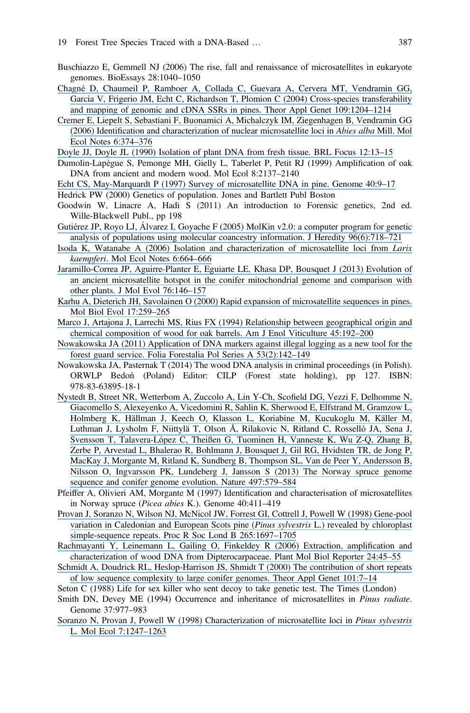- <span id="page-14-0"></span>Buschiazzo E, Gemmell NJ (2006) The rise, fall and renaissance of microsatellites in eukaryote genomes. BioEssays 28:1040–1050
- Chagné D, [Chaumeil P, Ramboer A, Collada C, Guevara A, Cervera MT, Vendramin GG,](https://www.researchgate.net/publication/8266177_Cross_species_transferability_and_mapping_of_genomic_and_cDNA_SSRs_in_pines?el=1_x_8&enrichId=rgreq-5e64e6b2a9d8af8d1fccd5f35eacb76c-XXX&enrichSource=Y292ZXJQYWdlOzI4MDczMDEzODtBUzozNjQ4MTM5MTUwNDk5ODhAMTQ2Mzk4OTgyMzQ1Mg==) [Garcia V, Frigerio JM, Echt C, Richardson T, Plomion C \(2004\) Cross-species transferability](https://www.researchgate.net/publication/8266177_Cross_species_transferability_and_mapping_of_genomic_and_cDNA_SSRs_in_pines?el=1_x_8&enrichId=rgreq-5e64e6b2a9d8af8d1fccd5f35eacb76c-XXX&enrichSource=Y292ZXJQYWdlOzI4MDczMDEzODtBUzozNjQ4MTM5MTUwNDk5ODhAMTQ2Mzk4OTgyMzQ1Mg==) [and mapping of genomic and cDNA SSRs in pines. Theor Appl Genet 109:1204](https://www.researchgate.net/publication/8266177_Cross_species_transferability_and_mapping_of_genomic_and_cDNA_SSRs_in_pines?el=1_x_8&enrichId=rgreq-5e64e6b2a9d8af8d1fccd5f35eacb76c-XXX&enrichSource=Y292ZXJQYWdlOzI4MDczMDEzODtBUzozNjQ4MTM5MTUwNDk5ODhAMTQ2Mzk4OTgyMzQ1Mg==)–1214
- [Cremer E, Liepelt S, Sebastiani F, Buonamici A, Michalczyk IM, Ziegenhagen B, Vendramin GG](https://www.researchgate.net/publication/221701903_Identification_and_characterization_of_nuclear_microsatellite_loci_in_Abies_alba_Mill?el=1_x_8&enrichId=rgreq-5e64e6b2a9d8af8d1fccd5f35eacb76c-XXX&enrichSource=Y292ZXJQYWdlOzI4MDczMDEzODtBUzozNjQ4MTM5MTUwNDk5ODhAMTQ2Mzk4OTgyMzQ1Mg==) (2006) Identification [and characterization of nuclear microsatellite loci in](https://www.researchgate.net/publication/221701903_Identification_and_characterization_of_nuclear_microsatellite_loci_in_Abies_alba_Mill?el=1_x_8&enrichId=rgreq-5e64e6b2a9d8af8d1fccd5f35eacb76c-XXX&enrichSource=Y292ZXJQYWdlOzI4MDczMDEzODtBUzozNjQ4MTM5MTUwNDk5ODhAMTQ2Mzk4OTgyMzQ1Mg==) Abies alba Mill. Mol [Ecol Notes 6:374](https://www.researchgate.net/publication/221701903_Identification_and_characterization_of_nuclear_microsatellite_loci_in_Abies_alba_Mill?el=1_x_8&enrichId=rgreq-5e64e6b2a9d8af8d1fccd5f35eacb76c-XXX&enrichSource=Y292ZXJQYWdlOzI4MDczMDEzODtBUzozNjQ4MTM5MTUwNDk5ODhAMTQ2Mzk4OTgyMzQ1Mg==)–376

[Doyle JJ, Doyle JL \(1990\) Isolation of plant DNA from fresh tissue. BRL Focus 12:13](https://www.researchgate.net/publication/246559138_Isolation_of_Plant_DNA_from_fresh_tissue?el=1_x_8&enrichId=rgreq-5e64e6b2a9d8af8d1fccd5f35eacb76c-XXX&enrichSource=Y292ZXJQYWdlOzI4MDczMDEzODtBUzozNjQ4MTM5MTUwNDk5ODhAMTQ2Mzk4OTgyMzQ1Mg==)–15

Dumolin-Lapègue S, Pemonge MH, Gielly L, Taberlet P, Petit RJ (1999) Amplification of oak DNA from ancient and modern wood. Mol Ecol 8:2137–2140

[Echt CS, May-Marquardt P \(1997\) Survey of microsatellite DNA in pine. Genome 40:9](https://www.researchgate.net/publication/14149943_Survey_of_microsatellite_DNA_in_pine?el=1_x_8&enrichId=rgreq-5e64e6b2a9d8af8d1fccd5f35eacb76c-XXX&enrichSource=Y292ZXJQYWdlOzI4MDczMDEzODtBUzozNjQ4MTM5MTUwNDk5ODhAMTQ2Mzk4OTgyMzQ1Mg==)–17

- Hedrick PW (2000) Genetics of population. Jones and Bartlett Publ Boston
- Goodwin W, Linacre A, Hadi S (2011) An introduction to Forensic genetics, 2nd ed. Wille-Blackwell Publ., pp 198
- Gutiérez JP, Royo LJ, Á[lvarez I, Goyache F \(2005\) MolKin v2.0: a computer program for genetic](https://www.researchgate.net/publication/7514392_MolKin_v20_A_Computer_Program_for_Genetic_Analysis_of_Populations_Using_Molecular_Coancestry_Information?el=1_x_8&enrichId=rgreq-5e64e6b2a9d8af8d1fccd5f35eacb76c-XXX&enrichSource=Y292ZXJQYWdlOzI4MDczMDEzODtBUzozNjQ4MTM5MTUwNDk5ODhAMTQ2Mzk4OTgyMzQ1Mg==) [analysis of populations using molecular coancestry information. J Heredity 96\(6\):718](https://www.researchgate.net/publication/7514392_MolKin_v20_A_Computer_Program_for_Genetic_Analysis_of_Populations_Using_Molecular_Coancestry_Information?el=1_x_8&enrichId=rgreq-5e64e6b2a9d8af8d1fccd5f35eacb76c-XXX&enrichSource=Y292ZXJQYWdlOzI4MDczMDEzODtBUzozNjQ4MTM5MTUwNDk5ODhAMTQ2Mzk4OTgyMzQ1Mg==)–721
- [Isoda K, Watanabe A \(2006\) Isolation and characterization of microsatellite loci from](https://www.researchgate.net/publication/230143253_Isolation_and_characterization_of_microsatellite_loci_from_Larix_kaempferi?el=1_x_8&enrichId=rgreq-5e64e6b2a9d8af8d1fccd5f35eacb76c-XXX&enrichSource=Y292ZXJQYWdlOzI4MDczMDEzODtBUzozNjQ4MTM5MTUwNDk5ODhAMTQ2Mzk4OTgyMzQ1Mg==) Larix kaempferi. [Mol Ecol Notes 6:664](https://www.researchgate.net/publication/230143253_Isolation_and_characterization_of_microsatellite_loci_from_Larix_kaempferi?el=1_x_8&enrichId=rgreq-5e64e6b2a9d8af8d1fccd5f35eacb76c-XXX&enrichSource=Y292ZXJQYWdlOzI4MDczMDEzODtBUzozNjQ4MTM5MTUwNDk5ODhAMTQ2Mzk4OTgyMzQ1Mg==)–666
- [Jaramillo-Correa JP, Aguirre-Planter E, Eguiarte LE, Khasa DP, Bousquet J \(2013\) Evolution of](https://www.researchgate.net/publication/235522645_Evolution_of_an_Ancient_Microsatellite_Hotspot_in_the_Conifer_Mitochondrial_Genome_and_Comparison_with_Other_Plants?el=1_x_8&enrichId=rgreq-5e64e6b2a9d8af8d1fccd5f35eacb76c-XXX&enrichSource=Y292ZXJQYWdlOzI4MDczMDEzODtBUzozNjQ4MTM5MTUwNDk5ODhAMTQ2Mzk4OTgyMzQ1Mg==) [an ancient microsatellite hotspot in the conifer mitochondrial genome and comparison with](https://www.researchgate.net/publication/235522645_Evolution_of_an_Ancient_Microsatellite_Hotspot_in_the_Conifer_Mitochondrial_Genome_and_Comparison_with_Other_Plants?el=1_x_8&enrichId=rgreq-5e64e6b2a9d8af8d1fccd5f35eacb76c-XXX&enrichSource=Y292ZXJQYWdlOzI4MDczMDEzODtBUzozNjQ4MTM5MTUwNDk5ODhAMTQ2Mzk4OTgyMzQ1Mg==) [other plants. J Mol Evol 76:146](https://www.researchgate.net/publication/235522645_Evolution_of_an_Ancient_Microsatellite_Hotspot_in_the_Conifer_Mitochondrial_Genome_and_Comparison_with_Other_Plants?el=1_x_8&enrichId=rgreq-5e64e6b2a9d8af8d1fccd5f35eacb76c-XXX&enrichSource=Y292ZXJQYWdlOzI4MDczMDEzODtBUzozNjQ4MTM5MTUwNDk5ODhAMTQ2Mzk4OTgyMzQ1Mg==)–157
- [Karhu A, Dieterich JH, Savolainen O \(2000\) Rapid expansion of microsatellite sequences in pines.](https://www.researchgate.net/publication/12637290_Rapid_Expansion_of_Microsatellite_Sequences_in_Pines?el=1_x_8&enrichId=rgreq-5e64e6b2a9d8af8d1fccd5f35eacb76c-XXX&enrichSource=Y292ZXJQYWdlOzI4MDczMDEzODtBUzozNjQ4MTM5MTUwNDk5ODhAMTQ2Mzk4OTgyMzQ1Mg==) [Mol Biol Evol 17:259](https://www.researchgate.net/publication/12637290_Rapid_Expansion_of_Microsatellite_Sequences_in_Pines?el=1_x_8&enrichId=rgreq-5e64e6b2a9d8af8d1fccd5f35eacb76c-XXX&enrichSource=Y292ZXJQYWdlOzI4MDczMDEzODtBUzozNjQ4MTM5MTUwNDk5ODhAMTQ2Mzk4OTgyMzQ1Mg==)–265
- [Marco J, Artajona J, Larrechi MS, Rius FX \(1994\) Relationship between geographical origin and](https://www.researchgate.net/publication/284300651_Relationship_between_geographical_origin_and_chemical_composition_of_wood_for_oak_barrels?el=1_x_8&enrichId=rgreq-5e64e6b2a9d8af8d1fccd5f35eacb76c-XXX&enrichSource=Y292ZXJQYWdlOzI4MDczMDEzODtBUzozNjQ4MTM5MTUwNDk5ODhAMTQ2Mzk4OTgyMzQ1Mg==) [chemical composition of wood for oak barrels. Am J Enol Viticulture 45:192](https://www.researchgate.net/publication/284300651_Relationship_between_geographical_origin_and_chemical_composition_of_wood_for_oak_barrels?el=1_x_8&enrichId=rgreq-5e64e6b2a9d8af8d1fccd5f35eacb76c-XXX&enrichSource=Y292ZXJQYWdlOzI4MDczMDEzODtBUzozNjQ4MTM5MTUwNDk5ODhAMTQ2Mzk4OTgyMzQ1Mg==)–200
- [Nowakowska JA \(2011\) Application of DNA markers against illegal logging as a new tool for the](https://www.researchgate.net/publication/259829353_Application_of_DNA_markers_against_illegal_logging_as_a_new_tool_for_the_Forest_Guard_Service?el=1_x_8&enrichId=rgreq-5e64e6b2a9d8af8d1fccd5f35eacb76c-XXX&enrichSource=Y292ZXJQYWdlOzI4MDczMDEzODtBUzozNjQ4MTM5MTUwNDk5ODhAMTQ2Mzk4OTgyMzQ1Mg==) [forest guard service. Folia Forestalia Pol Series A 53\(2\):142](https://www.researchgate.net/publication/259829353_Application_of_DNA_markers_against_illegal_logging_as_a_new_tool_for_the_Forest_Guard_Service?el=1_x_8&enrichId=rgreq-5e64e6b2a9d8af8d1fccd5f35eacb76c-XXX&enrichSource=Y292ZXJQYWdlOzI4MDczMDEzODtBUzozNjQ4MTM5MTUwNDk5ODhAMTQ2Mzk4OTgyMzQ1Mg==)–149
- Nowakowska JA, Pasternak T (2014) The wood DNA analysis in criminal proceedings (in Polish). ORWLP Bedoń (Poland) Editor: CILP (Forest state holding), pp 127. ISBN: 978-83-63895-18-1
- [Nystedt B, Street NR, Wetterbom A, Zuccolo A, Lin Y-Ch, Sco](https://www.researchgate.net/publication/236932291_The_Norway_spruce_genome_sequence_and_conifer_genome_evolution_Nature?el=1_x_8&enrichId=rgreq-5e64e6b2a9d8af8d1fccd5f35eacb76c-XXX&enrichSource=Y292ZXJQYWdlOzI4MDczMDEzODtBUzozNjQ4MTM5MTUwNDk5ODhAMTQ2Mzk4OTgyMzQ1Mg==)field DG, Vezzi F, Delhomme N, [Giacomello S, Alexeyenko A, Vicedomini R, Sahlin K, Sherwood E, Elfstrand M, Gramzow L,](https://www.researchgate.net/publication/236932291_The_Norway_spruce_genome_sequence_and_conifer_genome_evolution_Nature?el=1_x_8&enrichId=rgreq-5e64e6b2a9d8af8d1fccd5f35eacb76c-XXX&enrichSource=Y292ZXJQYWdlOzI4MDczMDEzODtBUzozNjQ4MTM5MTUwNDk5ODhAMTQ2Mzk4OTgyMzQ1Mg==) Holmberg K, Hällman [J, Keech O, Klasson L, Koriabine M, Kucukoglu M, K](https://www.researchgate.net/publication/236932291_The_Norway_spruce_genome_sequence_and_conifer_genome_evolution_Nature?el=1_x_8&enrichId=rgreq-5e64e6b2a9d8af8d1fccd5f35eacb76c-XXX&enrichSource=Y292ZXJQYWdlOzI4MDczMDEzODtBUzozNjQ4MTM5MTUwNDk5ODhAMTQ2Mzk4OTgyMzQ1Mg==)äller M, Luthman J, Lysholm F, Niittylä T, Olson Å[, Rilakovic N, Ritland C, Rossell](https://www.researchgate.net/publication/236932291_The_Norway_spruce_genome_sequence_and_conifer_genome_evolution_Nature?el=1_x_8&enrichId=rgreq-5e64e6b2a9d8af8d1fccd5f35eacb76c-XXX&enrichSource=Y292ZXJQYWdlOzI4MDczMDEzODtBUzozNjQ4MTM5MTUwNDk5ODhAMTQ2Mzk4OTgyMzQ1Mg==)ó JA, Sena J, Svensson T, Talavera-López C, Theiß[en G, Tuominen H, Vanneste K, Wu Z-Q, Zhang B,](https://www.researchgate.net/publication/236932291_The_Norway_spruce_genome_sequence_and_conifer_genome_evolution_Nature?el=1_x_8&enrichId=rgreq-5e64e6b2a9d8af8d1fccd5f35eacb76c-XXX&enrichSource=Y292ZXJQYWdlOzI4MDczMDEzODtBUzozNjQ4MTM5MTUwNDk5ODhAMTQ2Mzk4OTgyMzQ1Mg==) [Zerbe P, Arvestad L, Bhalerao R, Bohlmann J, Bousquet J, Gil RG, Hvidsten TR, de Jong P,](https://www.researchgate.net/publication/236932291_The_Norway_spruce_genome_sequence_and_conifer_genome_evolution_Nature?el=1_x_8&enrichId=rgreq-5e64e6b2a9d8af8d1fccd5f35eacb76c-XXX&enrichSource=Y292ZXJQYWdlOzI4MDczMDEzODtBUzozNjQ4MTM5MTUwNDk5ODhAMTQ2Mzk4OTgyMzQ1Mg==) [MacKay J, Morgante M, Ritland K, Sundberg B, Thompson SL, Van de Peer Y, Andersson B,](https://www.researchgate.net/publication/236932291_The_Norway_spruce_genome_sequence_and_conifer_genome_evolution_Nature?el=1_x_8&enrichId=rgreq-5e64e6b2a9d8af8d1fccd5f35eacb76c-XXX&enrichSource=Y292ZXJQYWdlOzI4MDczMDEzODtBUzozNjQ4MTM5MTUwNDk5ODhAMTQ2Mzk4OTgyMzQ1Mg==) [Nilsson O, Ingvarsson PK, Lundeberg J, Jansson S \(2013\) The Norway spruce genome](https://www.researchgate.net/publication/236932291_The_Norway_spruce_genome_sequence_and_conifer_genome_evolution_Nature?el=1_x_8&enrichId=rgreq-5e64e6b2a9d8af8d1fccd5f35eacb76c-XXX&enrichSource=Y292ZXJQYWdlOzI4MDczMDEzODtBUzozNjQ4MTM5MTUwNDk5ODhAMTQ2Mzk4OTgyMzQ1Mg==) [sequence and conifer genome evolution. Nature 497:579](https://www.researchgate.net/publication/236932291_The_Norway_spruce_genome_sequence_and_conifer_genome_evolution_Nature?el=1_x_8&enrichId=rgreq-5e64e6b2a9d8af8d1fccd5f35eacb76c-XXX&enrichSource=Y292ZXJQYWdlOzI4MDczMDEzODtBUzozNjQ4MTM5MTUwNDk5ODhAMTQ2Mzk4OTgyMzQ1Mg==)–584
- Pfeiffer A, Olivieri AM, Morgante M (1997) Identification and characterisation of microsatellites in Norway spruce (Picea abies K.). Genome 40:411–419
- [Provan J, Soranzo N, Wilson NJ, McNicol JW, Forrest GI, Cottrell J, Powell W \(1998\) Gene-pool](https://www.researchgate.net/publication/13499830_Gene-pool_variation_in_Caledonian_and_European_Scots_pine_Pinus_sylvestris_L_revealed_by_chloroplast_simple-sequence_repeats?el=1_x_8&enrichId=rgreq-5e64e6b2a9d8af8d1fccd5f35eacb76c-XXX&enrichSource=Y292ZXJQYWdlOzI4MDczMDEzODtBUzozNjQ4MTM5MTUwNDk5ODhAMTQ2Mzk4OTgyMzQ1Mg==) [variation in Caledonian and European Scots pine \(](https://www.researchgate.net/publication/13499830_Gene-pool_variation_in_Caledonian_and_European_Scots_pine_Pinus_sylvestris_L_revealed_by_chloroplast_simple-sequence_repeats?el=1_x_8&enrichId=rgreq-5e64e6b2a9d8af8d1fccd5f35eacb76c-XXX&enrichSource=Y292ZXJQYWdlOzI4MDczMDEzODtBUzozNjQ4MTM5MTUwNDk5ODhAMTQ2Mzk4OTgyMzQ1Mg==)Pinus sylvestris L.) revealed by chloroplast [simple-sequence repeats. Proc R Soc Lond B 265:1697](https://www.researchgate.net/publication/13499830_Gene-pool_variation_in_Caledonian_and_European_Scots_pine_Pinus_sylvestris_L_revealed_by_chloroplast_simple-sequence_repeats?el=1_x_8&enrichId=rgreq-5e64e6b2a9d8af8d1fccd5f35eacb76c-XXX&enrichSource=Y292ZXJQYWdlOzI4MDczMDEzODtBUzozNjQ4MTM5MTUwNDk5ODhAMTQ2Mzk4OTgyMzQ1Mg==)–1705
- [Rachmayanti Y, Leinemann L, Gailing O, Finkeldey R \(2006\) Extraction, ampli](https://www.researchgate.net/publication/225750890_Extraction_amplification_and_characterization_of_wood_DNA_from_Dipterocarpaceae?el=1_x_8&enrichId=rgreq-5e64e6b2a9d8af8d1fccd5f35eacb76c-XXX&enrichSource=Y292ZXJQYWdlOzI4MDczMDEzODtBUzozNjQ4MTM5MTUwNDk5ODhAMTQ2Mzk4OTgyMzQ1Mg==)fication and [characterization of wood DNA from Dipterocarpaceae. Plant Mol Biol Reporter 24:45](https://www.researchgate.net/publication/225750890_Extraction_amplification_and_characterization_of_wood_DNA_from_Dipterocarpaceae?el=1_x_8&enrichId=rgreq-5e64e6b2a9d8af8d1fccd5f35eacb76c-XXX&enrichSource=Y292ZXJQYWdlOzI4MDczMDEzODtBUzozNjQ4MTM5MTUwNDk5ODhAMTQ2Mzk4OTgyMzQ1Mg==)–55
- [Schmidt A, Doudrick RL, Heslop-Harrison JS, Shmidt T \(2000\) The contribution of short repeats](https://www.researchgate.net/publication/226046262_The_Contribution_of_Short_Repeats_of_Low_Sequence_Complexity_to_Large_Conifer_Genomes?el=1_x_8&enrichId=rgreq-5e64e6b2a9d8af8d1fccd5f35eacb76c-XXX&enrichSource=Y292ZXJQYWdlOzI4MDczMDEzODtBUzozNjQ4MTM5MTUwNDk5ODhAMTQ2Mzk4OTgyMzQ1Mg==) [of low sequence complexity to large conifer genomes. Theor Appl Genet 101:7](https://www.researchgate.net/publication/226046262_The_Contribution_of_Short_Repeats_of_Low_Sequence_Complexity_to_Large_Conifer_Genomes?el=1_x_8&enrichId=rgreq-5e64e6b2a9d8af8d1fccd5f35eacb76c-XXX&enrichSource=Y292ZXJQYWdlOzI4MDczMDEzODtBUzozNjQ4MTM5MTUwNDk5ODhAMTQ2Mzk4OTgyMzQ1Mg==)–14
- Seton C (1988) Life for sex killer who sent decoy to take genetic test. The Times (London)
- Smith DN, Devey ME (1994) Occurrence and inheritance of microsatellites in *Pinus radiate*. Genome 37:977–983
- [Soranzo N, Provan J, Powell W \(1998\) Characterization of microsatellite loci in](https://www.researchgate.net/publication/13551886_Characterisation_of_microsatellite_loci_in_Pinus_sylvestris_L?el=1_x_8&enrichId=rgreq-5e64e6b2a9d8af8d1fccd5f35eacb76c-XXX&enrichSource=Y292ZXJQYWdlOzI4MDczMDEzODtBUzozNjQ4MTM5MTUwNDk5ODhAMTQ2Mzk4OTgyMzQ1Mg==) Pinus sylvestris [L. Mol Ecol 7:1247](https://www.researchgate.net/publication/13551886_Characterisation_of_microsatellite_loci_in_Pinus_sylvestris_L?el=1_x_8&enrichId=rgreq-5e64e6b2a9d8af8d1fccd5f35eacb76c-XXX&enrichSource=Y292ZXJQYWdlOzI4MDczMDEzODtBUzozNjQ4MTM5MTUwNDk5ODhAMTQ2Mzk4OTgyMzQ1Mg==)–1263